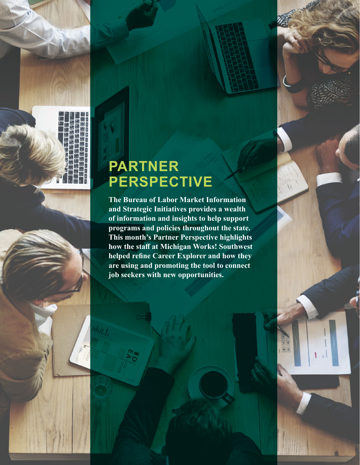

D

# **PARTNER PERSPECTIVE**

**The Bureau of Labor Market Information and Strategic Initiatives provides a wealth of information and insights to help support programs and policies throughout the state. This month's Partner Perspective highlights how the staff at Michigan Works! Southwest helped refine Career Explorer and how they are using and promoting the tool to connect job seekers with new opportunities.**

 $\left| \frac{1}{\sqrt{2}} \right|$